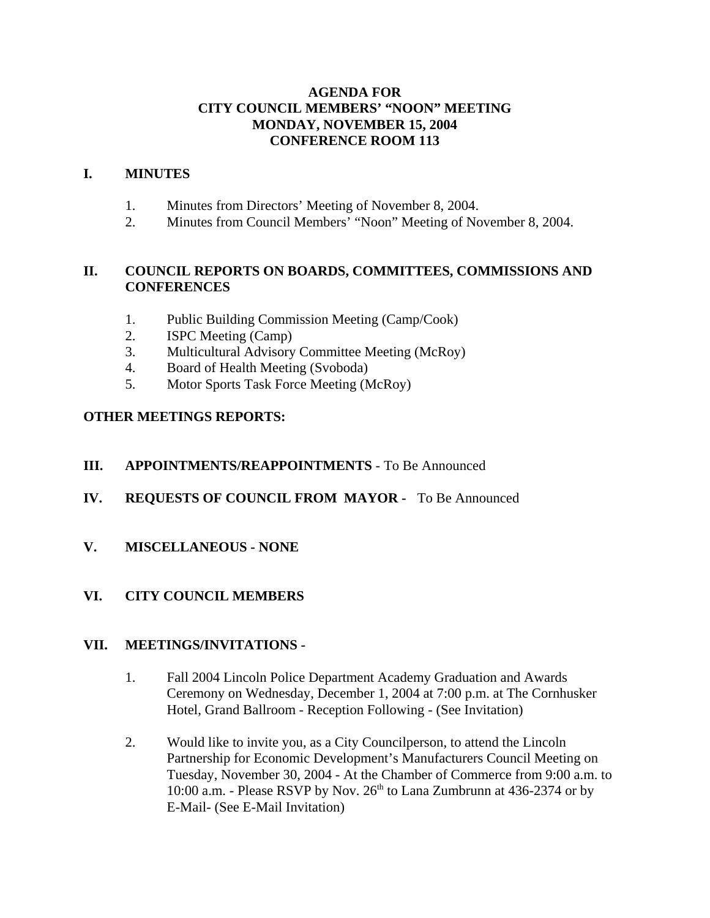#### **AGENDA FOR CITY COUNCIL MEMBERS' "NOON" MEETING MONDAY, NOVEMBER 15, 2004 CONFERENCE ROOM 113**

#### **I. MINUTES**

- 1. Minutes from Directors' Meeting of November 8, 2004.
- 2. Minutes from Council Members' "Noon" Meeting of November 8, 2004.

#### **II. COUNCIL REPORTS ON BOARDS, COMMITTEES, COMMISSIONS AND CONFERENCES**

- 1. Public Building Commission Meeting (Camp/Cook)
- 2. ISPC Meeting (Camp)
- 3. Multicultural Advisory Committee Meeting (McRoy)
- 4. Board of Health Meeting (Svoboda)
- 5. Motor Sports Task Force Meeting (McRoy)

## **OTHER MEETINGS REPORTS:**

#### **III. APPOINTMENTS/REAPPOINTMENTS** - To Be Announced

- **IV. REQUESTS OF COUNCIL FROM MAYOR** To Be Announced
- **V. MISCELLANEOUS NONE**

#### **VI. CITY COUNCIL MEMBERS**

#### **VII. MEETINGS/INVITATIONS -**

- 1. Fall 2004 Lincoln Police Department Academy Graduation and Awards Ceremony on Wednesday, December 1, 2004 at 7:00 p.m. at The Cornhusker Hotel, Grand Ballroom - Reception Following - (See Invitation)
- 2. Would like to invite you, as a City Councilperson, to attend the Lincoln Partnership for Economic Development's Manufacturers Council Meeting on Tuesday, November 30, 2004 - At the Chamber of Commerce from 9:00 a.m. to 10:00 a.m. - Please RSVP by Nov.  $26<sup>th</sup>$  to Lana Zumbrunn at 436-2374 or by E-Mail- (See E-Mail Invitation)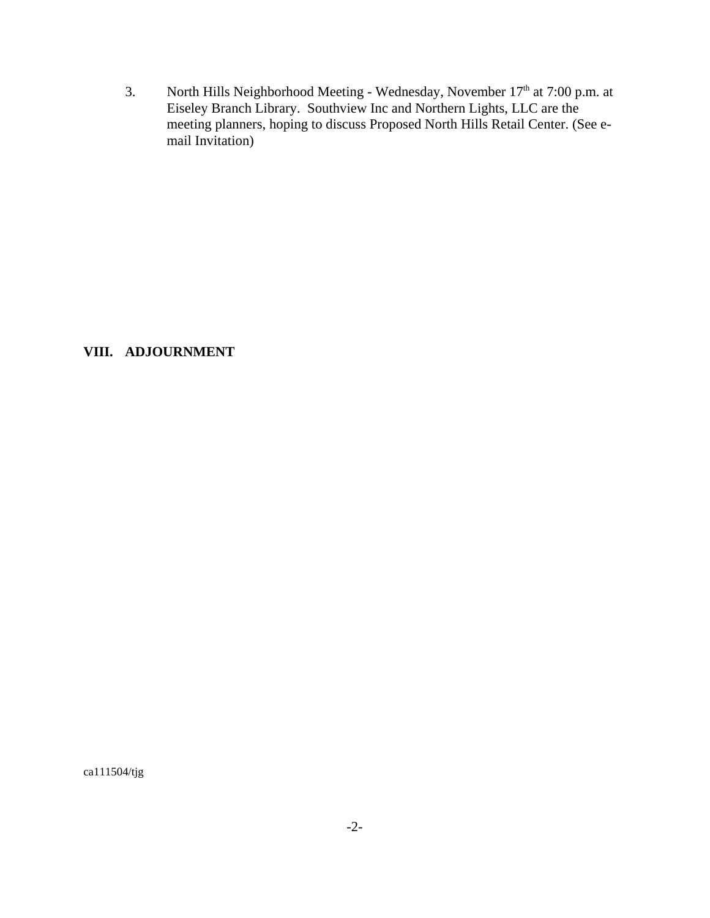3. North Hills Neighborhood Meeting - Wednesday, November  $17<sup>th</sup>$  at 7:00 p.m. at Eiseley Branch Library. Southview Inc and Northern Lights, LLC are the meeting planners, hoping to discuss Proposed North Hills Retail Center. (See email Invitation)

**VIII. ADJOURNMENT**

ca111504/tjg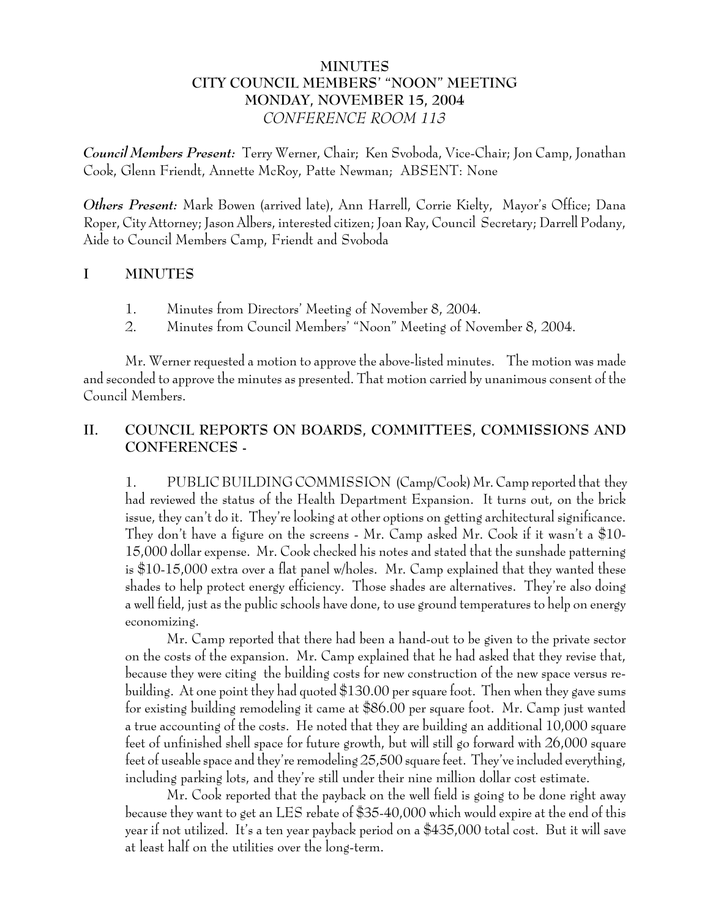## **MINUTES CITY COUNCIL MEMBERS' "NOON" MEETING MONDAY, NOVEMBER 15, 2004** *CONFERENCE ROOM 113*

*Council Members Present:* Terry Werner, Chair; Ken Svoboda, Vice-Chair; Jon Camp, Jonathan Cook, Glenn Friendt, Annette McRoy, Patte Newman; ABSENT: None

*Others Present:* Mark Bowen (arrived late), Ann Harrell, Corrie Kielty, Mayor's Office; Dana Roper, City Attorney; Jason Albers, interested citizen; Joan Ray, Council Secretary; Darrell Podany, Aide to Council Members Camp, Friendt and Svoboda

## **I MINUTES**

- 1. Minutes from Directors' Meeting of November 8, 2004.
- 2. Minutes from Council Members' "Noon" Meeting of November 8, 2004.

Mr. Werner requested a motion to approve the above-listed minutes. The motion was made and seconded to approve the minutes as presented. That motion carried by unanimous consent of the Council Members.

# **II. COUNCIL REPORTS ON BOARDS, COMMITTEES, COMMISSIONS AND CONFERENCES -**

1. PUBLIC BUILDING COMMISSION (Camp/Cook) Mr. Camp reported that they had reviewed the status of the Health Department Expansion. It turns out, on the brick issue, they can't do it. They're looking at other options on getting architectural significance. They don't have a figure on the screens - Mr. Camp asked Mr. Cook if it wasn't a \$10- 15,000 dollar expense. Mr. Cook checked his notes and stated that the sunshade patterning is \$10-15,000 extra over a flat panel w/holes. Mr. Camp explained that they wanted these shades to help protect energy efficiency. Those shades are alternatives. They're also doing a well field, just as the public schools have done, to use ground temperatures to help on energy economizing.

Mr. Camp reported that there had been a hand-out to be given to the private sector on the costs of the expansion. Mr. Camp explained that he had asked that they revise that, because they were citing the building costs for new construction of the new space versus rebuilding. At one point they had quoted \$130.00 per square foot. Then when they gave sums for existing building remodeling it came at \$86.00 per square foot. Mr. Camp just wanted a true accounting of the costs. He noted that they are building an additional 10,000 square feet of unfinished shell space for future growth, but will still go forward with 26,000 square feet of useable space and they're remodeling 25,500 square feet. They've included everything, including parking lots, and they're still under their nine million dollar cost estimate.

Mr. Cook reported that the payback on the well field is going to be done right away because they want to get an LES rebate of \$35-40,000 which would expire at the end of this year if not utilized. It's a ten year payback period on a \$435,000 total cost. But it will save at least half on the utilities over the long-term.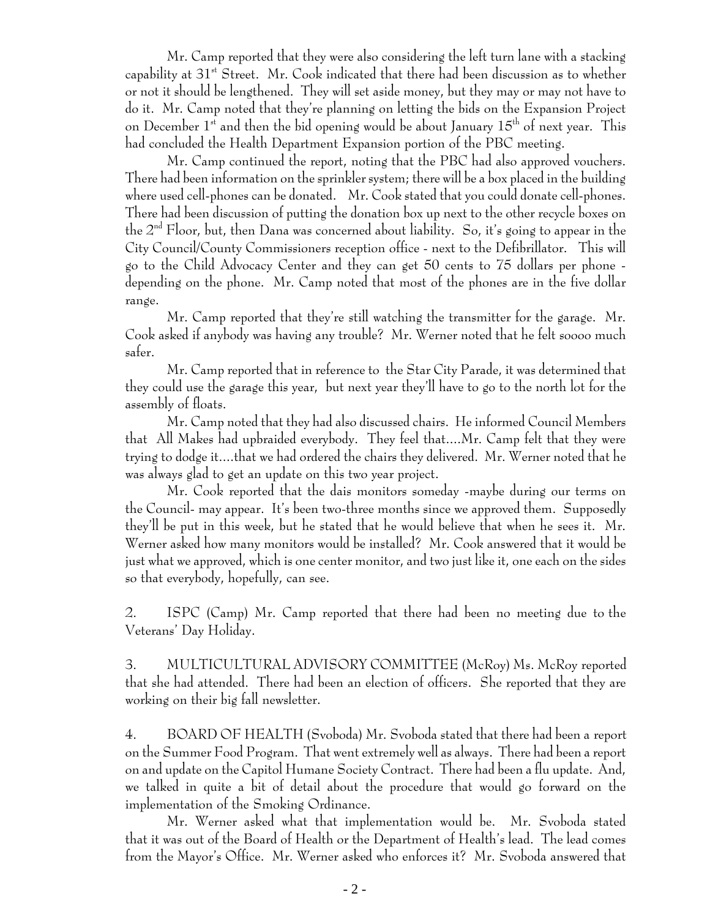Mr. Camp reported that they were also considering the left turn lane with a stacking capability at  $31<sup>st</sup>$  Street. Mr. Cook indicated that there had been discussion as to whether or not it should be lengthened. They will set aside money, but they may or may not have to do it. Mr. Camp noted that they're planning on letting the bids on the Expansion Project on December  $1^{st}$  and then the bid opening would be about January  $15^{th}$  of next year. This had concluded the Health Department Expansion portion of the PBC meeting.

Mr. Camp continued the report, noting that the PBC had also approved vouchers. There had been information on the sprinkler system; there will be a box placed in the building where used cell-phones can be donated. Mr. Cook stated that you could donate cell-phones. There had been discussion of putting the donation box up next to the other recycle boxes on the  $2^{nd}$  Floor, but, then Dana was concerned about liability. So, it's going to appear in the City Council/County Commissioners reception office - next to the Defibrillator. This will go to the Child Advocacy Center and they can get 50 cents to 75 dollars per phone depending on the phone. Mr. Camp noted that most of the phones are in the five dollar range.

Mr. Camp reported that they're still watching the transmitter for the garage. Mr. Cook asked if anybody was having any trouble? Mr. Werner noted that he felt soooo much safer.

Mr. Camp reported that in reference to the Star City Parade, it was determined that they could use the garage this year, but next year they'll have to go to the north lot for the assembly of floats.

Mr. Camp noted that they had also discussed chairs. He informed Council Members that All Makes had upbraided everybody. They feel that....Mr. Camp felt that they were trying to dodge it....that we had ordered the chairs they delivered. Mr. Werner noted that he was always glad to get an update on this two year project.

Mr. Cook reported that the dais monitors someday -maybe during our terms on the Council- may appear. It's been two-three months since we approved them. Supposedly they'll be put in this week, but he stated that he would believe that when he sees it. Mr. Werner asked how many monitors would be installed? Mr. Cook answered that it would be just what we approved, which is one center monitor, and two just like it, one each on the sides so that everybody, hopefully, can see.

2. ISPC (Camp) Mr. Camp reported that there had been no meeting due to the Veterans' Day Holiday.

3. MULTICULTURAL ADVISORY COMMITTEE (McRoy) Ms. McRoy reported that she had attended. There had been an election of officers. She reported that they are working on their big fall newsletter.

4. BOARD OF HEALTH (Svoboda) Mr. Svoboda stated that there had been a report on the Summer Food Program. That went extremely well as always. There had been a report on and update on the Capitol Humane Society Contract. There had been a flu update. And, we talked in quite a bit of detail about the procedure that would go forward on the implementation of the Smoking Ordinance.

Mr. Werner asked what that implementation would be. Mr. Svoboda stated that it was out of the Board of Health or the Department of Health's lead. The lead comes from the Mayor's Office. Mr. Werner asked who enforces it? Mr. Svoboda answered that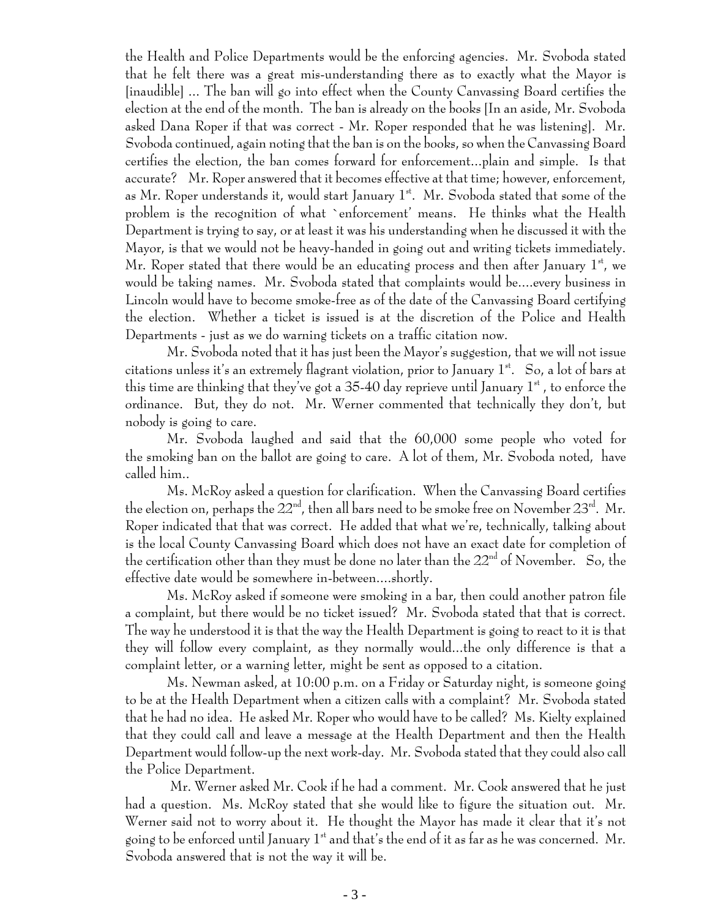the Health and Police Departments would be the enforcing agencies. Mr. Svoboda stated that he felt there was a great mis-understanding there as to exactly what the Mayor is [inaudible] ... The ban will go into effect when the County Canvassing Board certifies the election at the end of the month. The ban is already on the books [In an aside, Mr. Svoboda asked Dana Roper if that was correct - Mr. Roper responded that he was listening]. Mr. Svoboda continued, again noting that the ban is on the books, so when the Canvassing Board certifies the election, the ban comes forward for enforcement...plain and simple. Is that accurate? Mr. Roper answered that it becomes effective at that time; however, enforcement, as Mr. Roper understands it, would start January  $1<sup>st</sup>$ . Mr. Svoboda stated that some of the problem is the recognition of what `enforcement' means. He thinks what the Health Department is trying to say, or at least it was his understanding when he discussed it with the Mayor, is that we would not be heavy-handed in going out and writing tickets immediately. Mr. Roper stated that there would be an educating process and then after January  $1^{\rm st}$ , we would be taking names. Mr. Svoboda stated that complaints would be....every business in Lincoln would have to become smoke-free as of the date of the Canvassing Board certifying the election. Whether a ticket is issued is at the discretion of the Police and Health Departments - just as we do warning tickets on a traffic citation now.

Mr. Svoboda noted that it has just been the Mayor's suggestion, that we will not issue citations unless it's an extremely flagrant violation, prior to January  $1^{st}$ . So, a lot of bars at this time are thinking that they've got a 35-40 day reprieve until January  $1^\mathrm{st}$  , to enforce the ordinance. But, they do not. Mr. Werner commented that technically they don't, but nobody is going to care.

Mr. Svoboda laughed and said that the 60,000 some people who voted for the smoking ban on the ballot are going to care. A lot of them, Mr. Svoboda noted, have called him..

Ms. McRoy asked a question for clarification. When the Canvassing Board certifies the election on, perhaps the  $22<sup>nd</sup>$ , then all bars need to be smoke free on November  $23<sup>nd</sup>$ . Mr. Roper indicated that that was correct. He added that what we're, technically, talking about is the local County Canvassing Board which does not have an exact date for completion of the certification other than they must be done no later than the  $22<sup>nd</sup>$  of November. So, the effective date would be somewhere in-between....shortly.

Ms. McRoy asked if someone were smoking in a bar, then could another patron file a complaint, but there would be no ticket issued? Mr. Svoboda stated that that is correct. The way he understood it is that the way the Health Department is going to react to it is that they will follow every complaint, as they normally would...the only difference is that a complaint letter, or a warning letter, might be sent as opposed to a citation.

Ms. Newman asked, at 10:00 p.m. on a Friday or Saturday night, is someone going to be at the Health Department when a citizen calls with a complaint? Mr. Svoboda stated that he had no idea. He asked Mr. Roper who would have to be called? Ms. Kielty explained that they could call and leave a message at the Health Department and then the Health Department would follow-up the next work-day. Mr. Svoboda stated that they could also call the Police Department.

 Mr. Werner asked Mr. Cook if he had a comment. Mr. Cook answered that he just had a question. Ms. McRoy stated that she would like to figure the situation out. Mr. Werner said not to worry about it. He thought the Mayor has made it clear that it's not going to be enforced until January  $1<sup>st</sup>$  and that's the end of it as far as he was concerned. Mr. Svoboda answered that is not the way it will be.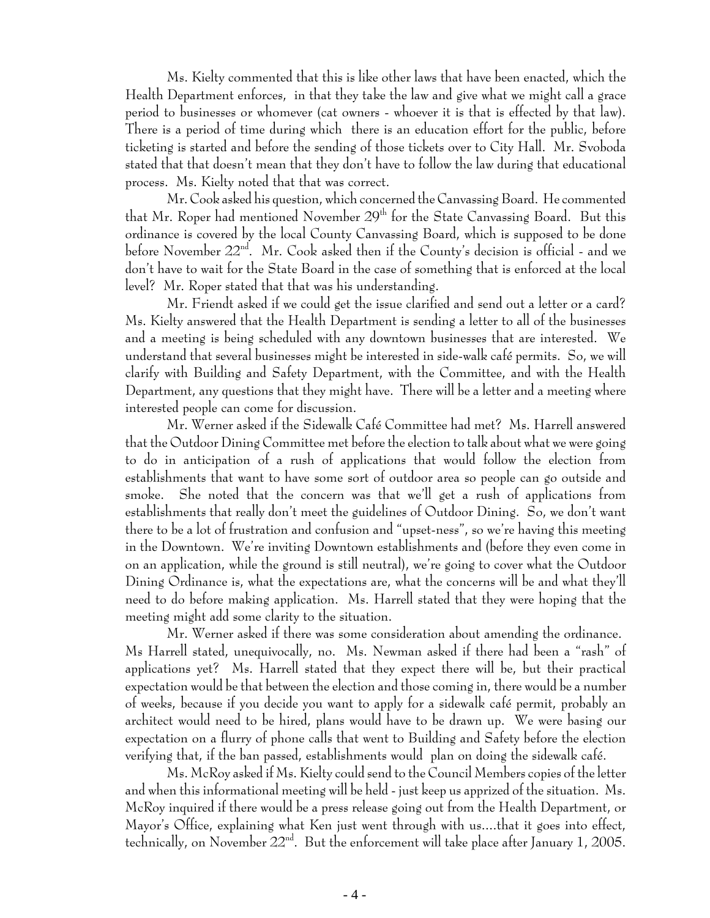Ms. Kielty commented that this is like other laws that have been enacted, which the Health Department enforces, in that they take the law and give what we might call a grace period to businesses or whomever (cat owners - whoever it is that is effected by that law). There is a period of time during which there is an education effort for the public, before ticketing is started and before the sending of those tickets over to City Hall. Mr. Svoboda stated that that doesn't mean that they don't have to follow the law during that educational process. Ms. Kielty noted that that was correct.

Mr. Cook asked his question, which concerned the Canvassing Board. He commented that Mr. Roper had mentioned November  $29<sup>th</sup>$  for the State Canvassing Board. But this ordinance is covered by the local County Canvassing Board, which is supposed to be done before November 22<sup>nd</sup>. Mr. Cook asked then if the County's decision is official - and we don't have to wait for the State Board in the case of something that is enforced at the local level? Mr. Roper stated that that was his understanding.

Mr. Friendt asked if we could get the issue clarified and send out a letter or a card? Ms. Kielty answered that the Health Department is sending a letter to all of the businesses and a meeting is being scheduled with any downtown businesses that are interested. We understand that several businesses might be interested in side-walk café permits. So, we will clarify with Building and Safety Department, with the Committee, and with the Health Department, any questions that they might have. There will be a letter and a meeting where interested people can come for discussion.

Mr. Werner asked if the Sidewalk Café Committee had met? Ms. Harrell answered that the Outdoor Dining Committee met before the election to talk about what we were going to do in anticipation of a rush of applications that would follow the election from establishments that want to have some sort of outdoor area so people can go outside and smoke. She noted that the concern was that we'll get a rush of applications from establishments that really don't meet the guidelines of Outdoor Dining. So, we don't want there to be a lot of frustration and confusion and "upset-ness", so we're having this meeting in the Downtown. We're inviting Downtown establishments and (before they even come in on an application, while the ground is still neutral), we're going to cover what the Outdoor Dining Ordinance is, what the expectations are, what the concerns will be and what they'll need to do before making application. Ms. Harrell stated that they were hoping that the meeting might add some clarity to the situation.

Mr. Werner asked if there was some consideration about amending the ordinance. Ms Harrell stated, unequivocally, no. Ms. Newman asked if there had been a "rash" of applications yet? Ms. Harrell stated that they expect there will be, but their practical expectation would be that between the election and those coming in, there would be a number of weeks, because if you decide you want to apply for a sidewalk café permit, probably an architect would need to be hired, plans would have to be drawn up. We were basing our expectation on a flurry of phone calls that went to Building and Safety before the election verifying that, if the ban passed, establishments would plan on doing the sidewalk café.

Ms. McRoy asked if Ms. Kielty could send to the Council Members copies of the letter and when this informational meeting will be held - just keep us apprized of the situation. Ms. McRoy inquired if there would be a press release going out from the Health Department, or Mayor's Office, explaining what Ken just went through with us....that it goes into effect, technically, on November  $22^{\text{nd}}$ . But the enforcement will take place after January 1, 2005.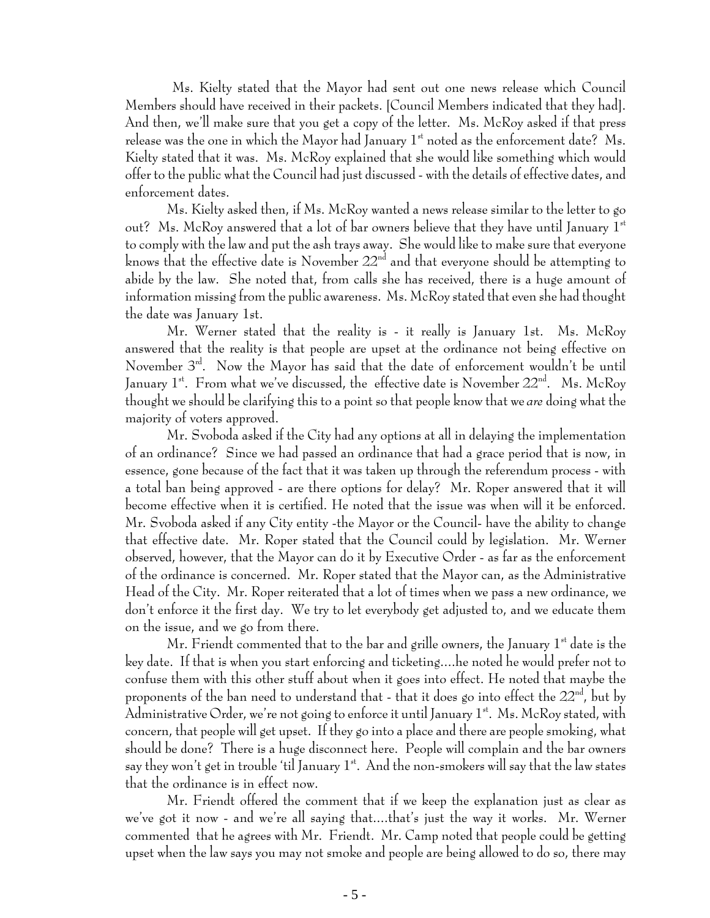Ms. Kielty stated that the Mayor had sent out one news release which Council Members should have received in their packets. [Council Members indicated that they had]. And then, we'll make sure that you get a copy of the letter. Ms. McRoy asked if that press release was the one in which the Mayor had January  $1^{st}$  noted as the enforcement date? Ms. Kielty stated that it was. Ms. McRoy explained that she would like something which would offer to the public what the Council had just discussed - with the details of effective dates, and enforcement dates.

Ms. Kielty asked then, if Ms. McRoy wanted a news release similar to the letter to go out? Ms. McRoy answered that a lot of bar owners believe that they have until January  $1<sup>st</sup>$ to comply with the law and put the ash trays away. She would like to make sure that everyone knows that the effective date is November  $22<sup>nd</sup>$  and that everyone should be attempting to abide by the law. She noted that, from calls she has received, there is a huge amount of information missing from the public awareness. Ms. McRoy stated that even she had thought the date was January 1st.

Mr. Werner stated that the reality is - it really is January 1st. Ms. McRoy answered that the reality is that people are upset at the ordinance not being effective on November 3<sup>rd</sup>. Now the Mayor has said that the date of enforcement wouldn't be until January  $1^{st}$ . From what we've discussed, the effective date is November  $22^{nd}$ . Ms. McRoy thought we should be clarifying this to a point so that people know that we *are* doing what the majority of voters approved.

Mr. Svoboda asked if the City had any options at all in delaying the implementation of an ordinance? Since we had passed an ordinance that had a grace period that is now, in essence, gone because of the fact that it was taken up through the referendum process - with a total ban being approved - are there options for delay? Mr. Roper answered that it will become effective when it is certified. He noted that the issue was when will it be enforced. Mr. Svoboda asked if any City entity -the Mayor or the Council- have the ability to change that effective date. Mr. Roper stated that the Council could by legislation. Mr. Werner observed, however, that the Mayor can do it by Executive Order - as far as the enforcement of the ordinance is concerned. Mr. Roper stated that the Mayor can, as the Administrative Head of the City. Mr. Roper reiterated that a lot of times when we pass a new ordinance, we don't enforce it the first day. We try to let everybody get adjusted to, and we educate them on the issue, and we go from there.

Mr. Friendt commented that to the bar and grille owners, the January  $1<sup>st</sup>$  date is the key date. If that is when you start enforcing and ticketing....he noted he would prefer not to confuse them with this other stuff about when it goes into effect. He noted that maybe the proponents of the ban need to understand that - that it does go into effect the  $22<sup>nd</sup>$ , but by Administrative Order, we're not going to enforce it until January  $1^{st}$ . Ms. McRoy stated, with concern, that people will get upset. If they go into a place and there are people smoking, what should be done? There is a huge disconnect here. People will complain and the bar owners say they won't get in trouble 'til January  $1^{st}$ . And the non-smokers will say that the law states that the ordinance is in effect now.

Mr. Friendt offered the comment that if we keep the explanation just as clear as we've got it now - and we're all saying that....that's just the way it works. Mr. Werner commented that he agrees with Mr. Friendt. Mr. Camp noted that people could be getting upset when the law says you may not smoke and people are being allowed to do so, there may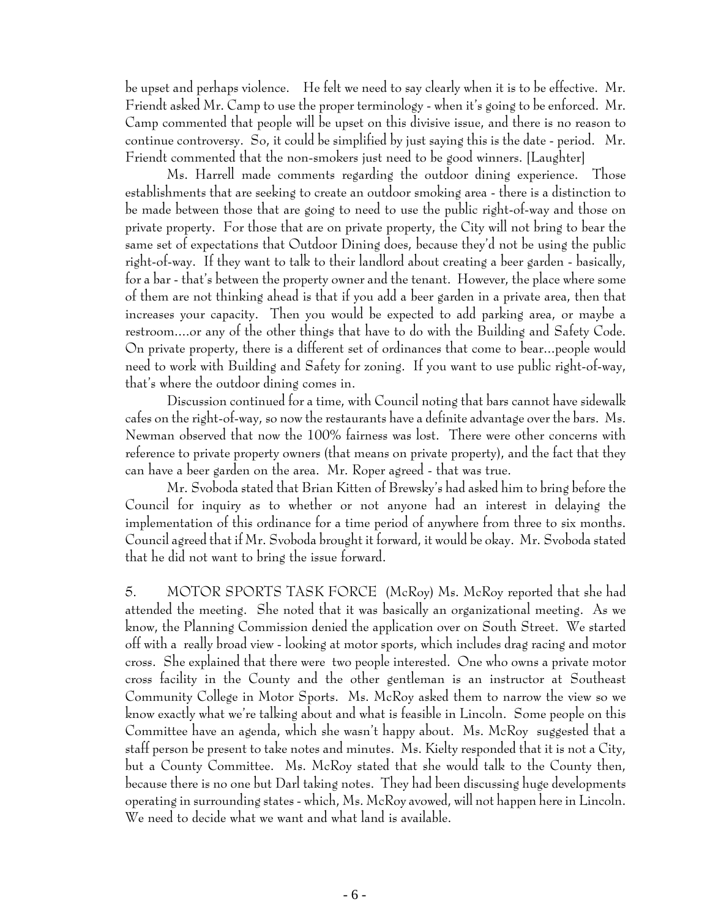be upset and perhaps violence. He felt we need to say clearly when it is to be effective. Mr. Friendt asked Mr. Camp to use the proper terminology - when it's going to be enforced. Mr. Camp commented that people will be upset on this divisive issue, and there is no reason to continue controversy. So, it could be simplified by just saying this is the date - period. Mr. Friendt commented that the non-smokers just need to be good winners. [Laughter]

Ms. Harrell made comments regarding the outdoor dining experience. Those establishments that are seeking to create an outdoor smoking area - there is a distinction to be made between those that are going to need to use the public right-of-way and those on private property. For those that are on private property, the City will not bring to bear the same set of expectations that Outdoor Dining does, because they'd not be using the public right-of-way. If they want to talk to their landlord about creating a beer garden - basically, for a bar - that's between the property owner and the tenant. However, the place where some of them are not thinking ahead is that if you add a beer garden in a private area, then that increases your capacity. Then you would be expected to add parking area, or maybe a restroom....or any of the other things that have to do with the Building and Safety Code. On private property, there is a different set of ordinances that come to bear...people would need to work with Building and Safety for zoning. If you want to use public right-of-way, that's where the outdoor dining comes in.

Discussion continued for a time, with Council noting that bars cannot have sidewalk cafes on the right-of-way, so now the restaurants have a definite advantage over the bars. Ms. Newman observed that now the 100% fairness was lost. There were other concerns with reference to private property owners (that means on private property), and the fact that they can have a beer garden on the area. Mr. Roper agreed - that was true.

Mr. Svoboda stated that Brian Kitten of Brewsky's had asked him to bring before the Council for inquiry as to whether or not anyone had an interest in delaying the implementation of this ordinance for a time period of anywhere from three to six months. Council agreed that if Mr. Svoboda brought it forward, it would be okay. Mr. Svoboda stated that he did not want to bring the issue forward.

5. MOTOR SPORTS TASK FORCE (McRoy) Ms. McRoy reported that she had attended the meeting. She noted that it was basically an organizational meeting. As we know, the Planning Commission denied the application over on South Street. We started off with a really broad view - looking at motor sports, which includes drag racing and motor cross. She explained that there were two people interested. One who owns a private motor cross facility in the County and the other gentleman is an instructor at Southeast Community College in Motor Sports. Ms. McRoy asked them to narrow the view so we know exactly what we're talking about and what is feasible in Lincoln. Some people on this Committee have an agenda, which she wasn't happy about. Ms. McRoy suggested that a staff person be present to take notes and minutes. Ms. Kielty responded that it is not a City, but a County Committee. Ms. McRoy stated that she would talk to the County then, because there is no one but Darl taking notes. They had been discussing huge developments operating in surrounding states - which, Ms. McRoy avowed, will not happen here in Lincoln. We need to decide what we want and what land is available.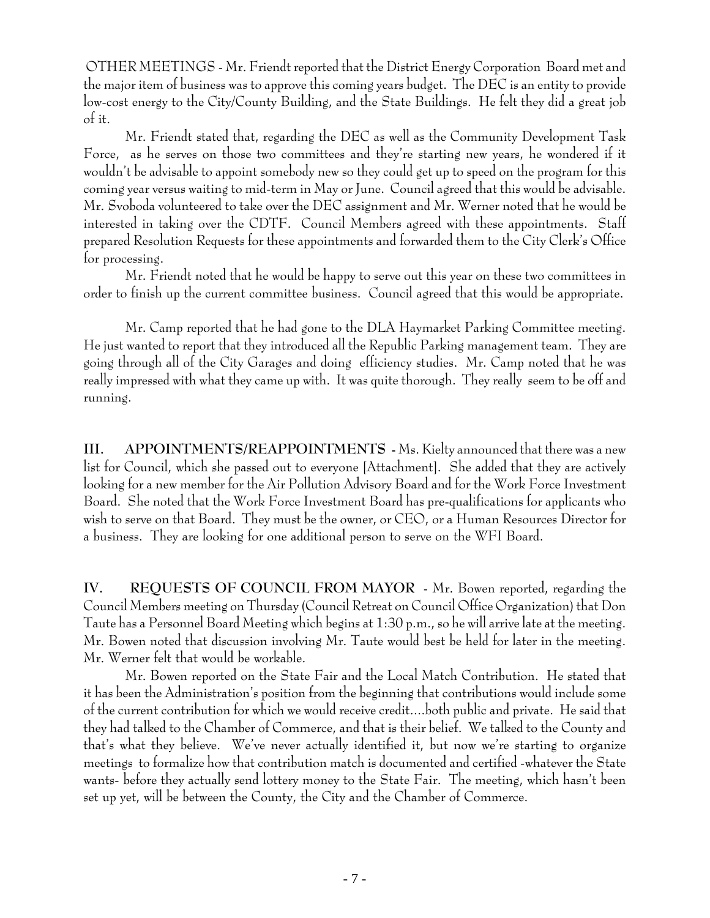OTHER MEETINGS - Mr. Friendt reported that the District Energy Corporation Board met and the major item of business was to approve this coming years budget. The DEC is an entity to provide low-cost energy to the City/County Building, and the State Buildings. He felt they did a great job of it.

Mr. Friendt stated that, regarding the DEC as well as the Community Development Task Force, as he serves on those two committees and they're starting new years, he wondered if it wouldn't be advisable to appoint somebody new so they could get up to speed on the program for this coming year versus waiting to mid-term in May or June. Council agreed that this would be advisable. Mr. Svoboda volunteered to take over the DEC assignment and Mr. Werner noted that he would be interested in taking over the CDTF. Council Members agreed with these appointments. Staff prepared Resolution Requests for these appointments and forwarded them to the City Clerk's Office for processing.

Mr. Friendt noted that he would be happy to serve out this year on these two committees in order to finish up the current committee business. Council agreed that this would be appropriate.

Mr. Camp reported that he had gone to the DLA Haymarket Parking Committee meeting. He just wanted to report that they introduced all the Republic Parking management team. They are going through all of the City Garages and doing efficiency studies. Mr. Camp noted that he was really impressed with what they came up with. It was quite thorough. They really seem to be off and running.

**III. APPOINTMENTS/REAPPOINTMENTS -** Ms. Kielty announced that there was a new list for Council, which she passed out to everyone [Attachment]. She added that they are actively looking for a new member for the Air Pollution Advisory Board and for the Work Force Investment Board. She noted that the Work Force Investment Board has pre-qualifications for applicants who wish to serve on that Board. They must be the owner, or CEO, or a Human Resources Director for a business. They are looking for one additional person to serve on the WFI Board.

**IV. REQUESTS OF COUNCIL FROM MAYOR** - Mr. Bowen reported, regarding the Council Members meeting on Thursday (Council Retreat on Council Office Organization) that Don Taute has a Personnel Board Meeting which begins at 1:30 p.m., so he will arrive late at the meeting. Mr. Bowen noted that discussion involving Mr. Taute would best be held for later in the meeting. Mr. Werner felt that would be workable.

Mr. Bowen reported on the State Fair and the Local Match Contribution. He stated that it has been the Administration's position from the beginning that contributions would include some of the current contribution for which we would receive credit....both public and private. He said that they had talked to the Chamber of Commerce, and that is their belief. We talked to the County and that's what they believe. We've never actually identified it, but now we're starting to organize meetings to formalize how that contribution match is documented and certified -whatever the State wants- before they actually send lottery money to the State Fair. The meeting, which hasn't been set up yet, will be between the County, the City and the Chamber of Commerce.